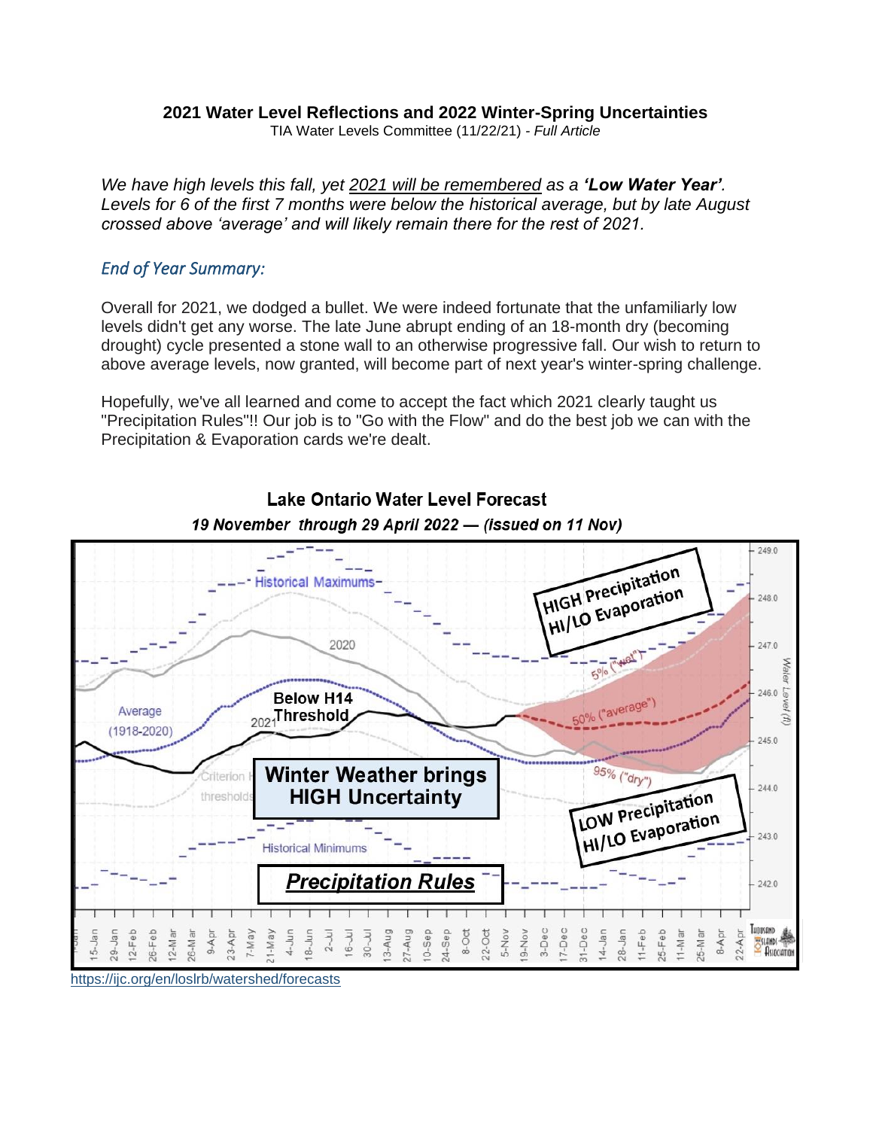#### **2021 Water Level Reflections and 2022 Winter-Spring Uncertainties**

TIA Water Levels Committee (11/22/21) *- Full Article*

*We have high levels this fall, yet 2021 will be remembered as a 'Low Water Year'. Levels for 6 of the first 7 months were below the historical average, but by late August crossed above 'average' and will likely remain there for the rest of 2021.*

#### *End of Year Summary:*

Overall for 2021, we dodged a bullet. We were indeed fortunate that the unfamiliarly low levels didn't get any worse. The late June abrupt ending of an 18-month dry (becoming drought) cycle presented a stone wall to an otherwise progressive fall. Our wish to return to above average levels, now granted, will become part of next year's winter-spring challenge.

Hopefully, we've all learned and come to accept the fact which 2021 clearly taught us "Precipitation Rules"!! Our job is to "Go with the Flow" and do the best job we can with the Precipitation & Evaporation cards we're dealt.



### **Lake Ontario Water Level Forecast** 19 November through 29 April 2022 - (issued on 11 Nov)

<https://ijc.org/en/loslrb/watershed/forecasts>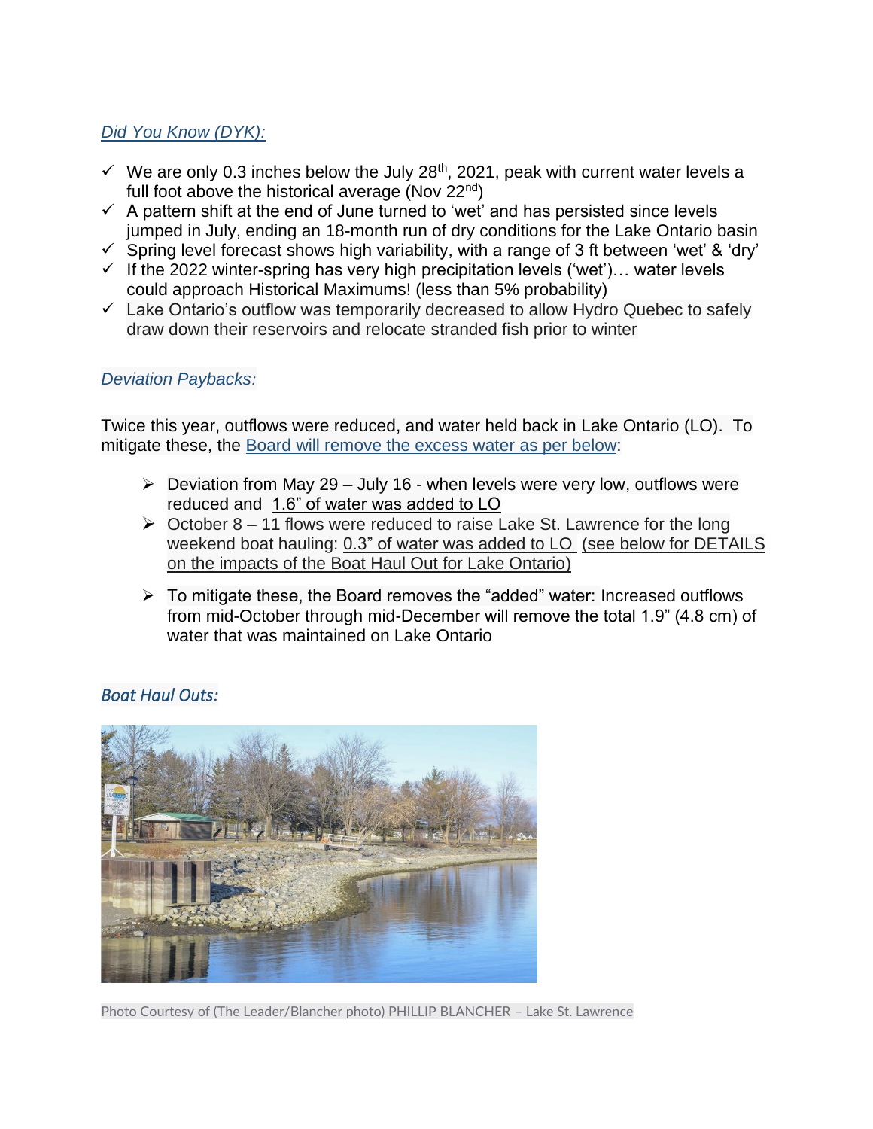# *Did You Know (DYK):*

- $\checkmark$  We are only 0.3 inches below the July 28<sup>th</sup>, 2021, peak with current water levels a full foot above the historical average (Nov 22<sup>nd</sup>)
- $\checkmark$  A pattern shift at the end of June turned to 'wet' and has persisted since levels jumped in July, ending an 18-month run of dry conditions for the Lake Ontario basin
- $\checkmark$  Spring level forecast shows high variability, with a range of 3 ft between 'wet' & 'dry'
- $\checkmark$  If the 2022 winter-spring has very high precipitation levels ('wet')... water levels could approach Historical Maximums! (less than 5% probability)
- ✓ Lake Ontario's outflow was temporarily decreased to allow Hydro Quebec to safely draw down their reservoirs and relocate stranded fish prior to winter

### *[Deviation Paybacks](https://www.ijc.org/en/loslrb/international-lake-ontario-st-lawrence-river-board-will-increase-outflows-through-moses?mc_cid=0c9b88229c&mc_eid=76801871d2):*

Twice this year, outflows were reduced, and water held back in Lake Ontario (LO). To mitigate these, the [Board will remove the excess water](https://www.ijc.org/en/loslrb/international-lake-ontario-st-lawrence-river-board-will-increase-outflows-through-moses?mc_cid=0c9b88229c&mc_eid=76801871d2) as per below:

- $\triangleright$  Deviation from May 29 July 16 when levels were very low, outflows were reduced and 1.6" of water was added to LO
- $\triangleright$  October 8 11 flows were reduced to raise Lake St. Lawrence for the long weekend boat hauling: 0.3" of water was added to LO (see below for DETAILS on the impacts of the Boat Haul Out for Lake Ontario)
- ➢ To mitigate these, the Board removes the "added" water: Increased outflows from mid-October through mid-December will remove the total 1.9" (4.8 cm) of water that was maintained on Lake Ontario

### *Boat Haul Outs:*



Photo Courtesy of (The Leader/Blancher photo) PHILLIP BLANCHER – Lake St. Lawrence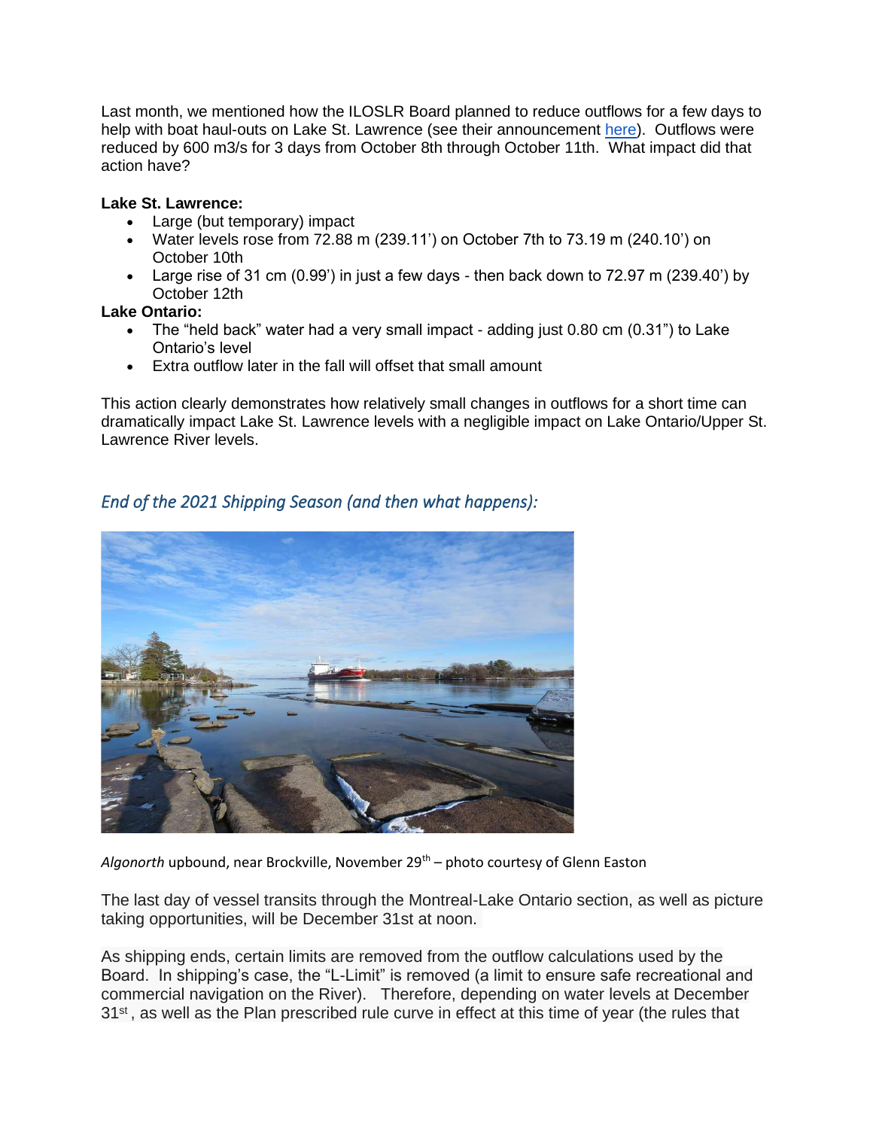Last month, we mentioned how the ILOSLR Board planned to reduce outflows for a few days to help with boat haul-outs on Lake St. Lawrence (see their announcement [here\)](https://ijc.org/en/loslrb/international-lake-ontario-st-lawrence-river-board-plans-assist-boat-haul-out-lake-st). Outflows were reduced by 600 m3/s for 3 days from October 8th through October 11th. What impact did that action have?

#### **Lake St. Lawrence:**

- Large (but temporary) impact
- Water levels rose from 72.88 m (239.11') on October 7th to 73.19 m (240.10') on October 10th
- Large rise of 31 cm (0.99') in just a few days then back down to 72.97 m (239.40') by October 12th

#### **Lake Ontario:**

- The "held back" water had a very small impact adding just 0.80 cm (0.31") to Lake Ontario's level
- Extra outflow later in the fall will offset that small amount

This action clearly demonstrates how relatively small changes in outflows for a short time can dramatically impact Lake St. Lawrence levels with a negligible impact on Lake Ontario/Upper St. Lawrence River levels.

# *End of the 2021 Shipping Season (and then what happens):*



Algonorth upbound, near Brockville, November 29<sup>th</sup> – photo courtesy of Glenn Easton

The last day of vessel transits through the Montreal-Lake Ontario section, as well as picture taking opportunities, will be December 31st at noon.

As shipping ends, certain limits are removed from the outflow calculations used by the Board. In shipping's case, the "L-Limit" is removed (a limit to ensure safe recreational and commercial navigation on the River). Therefore, depending on water levels at December 31<sup>st</sup>, as well as the Plan prescribed rule curve in effect at this time of year (the rules that